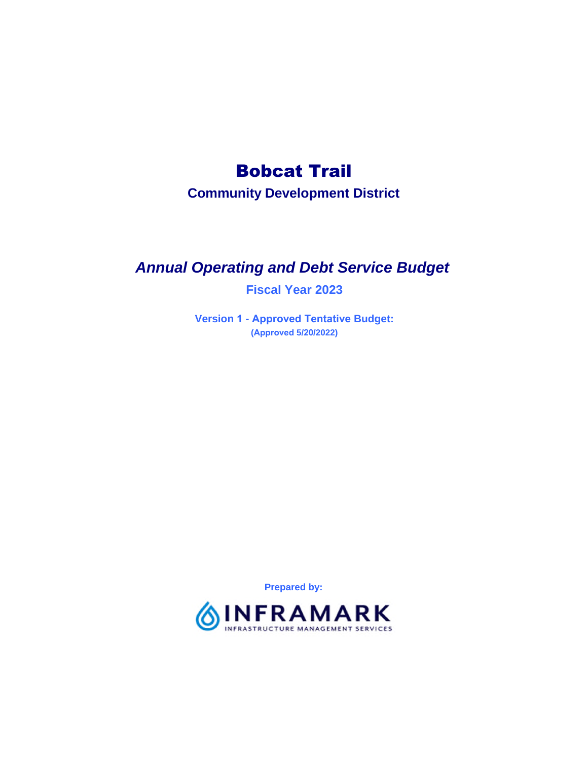# Bobcat Trail

**Community Development District**

# *Annual Operating and Debt Service Budget*

**Fiscal Year 2023**

**Version 1 - Approved Tentative Budget: (Approved 5/20/2022)**

**Prepared by:**

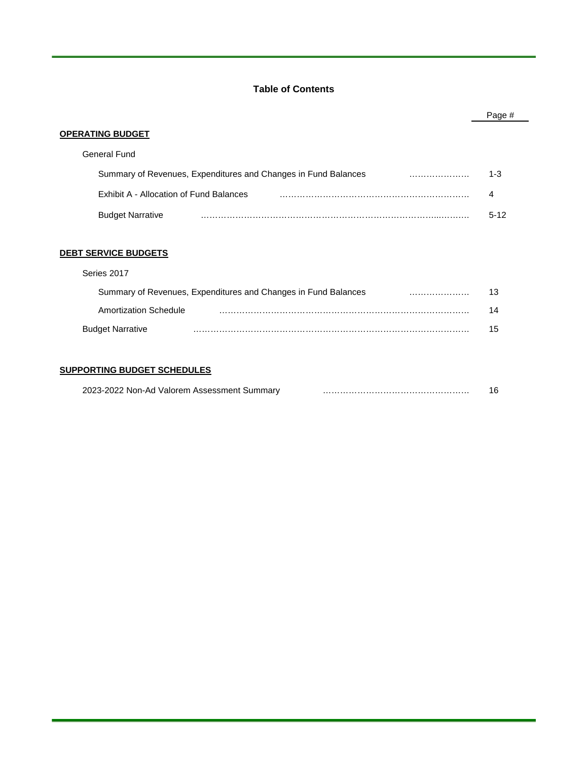# **Table of Contents**

|                                                                | Page #   |
|----------------------------------------------------------------|----------|
| OPERATING BUDGET                                               |          |
| <b>General Fund</b>                                            |          |
| Summary of Revenues, Expenditures and Changes in Fund Balances | $1 - 3$  |
| Exhibit A - Allocation of Fund Balances                        | 4        |
| <b>Budget Narrative</b>                                        | $5 - 12$ |
| <u>DEBT SERVICE BUDGETS</u>                                    |          |
| Series 2017                                                    |          |
| Summary of Revenues, Expenditures and Changes in Fund Balances | 13       |
| Amortization Schedule                                          | 14       |
| <b>Budget Narrative</b>                                        | 15       |
|                                                                |          |

# **SUPPORTING BUDGET SCHEDULES**

| 2023-2022 Non-Ad Valorem Assessment Summary |  |  |
|---------------------------------------------|--|--|
|---------------------------------------------|--|--|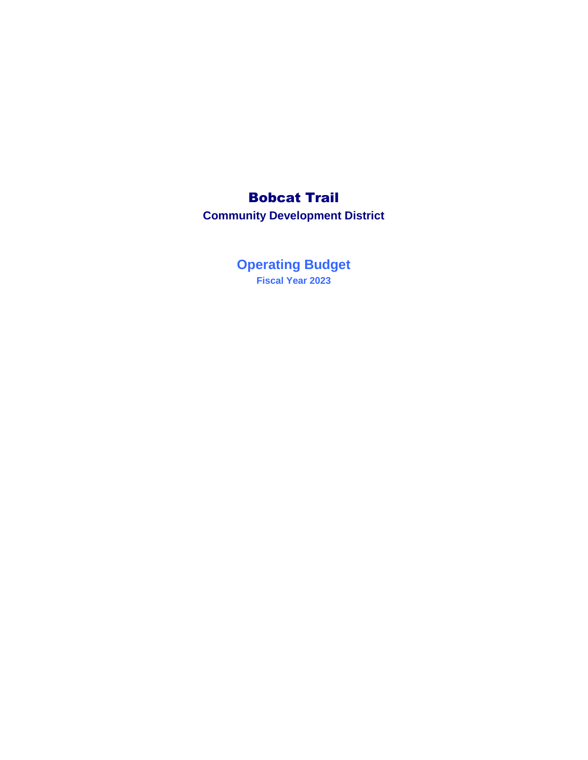# Bobcat Trail

**Community Development District**

**Fiscal Year 2023 Operating Budget**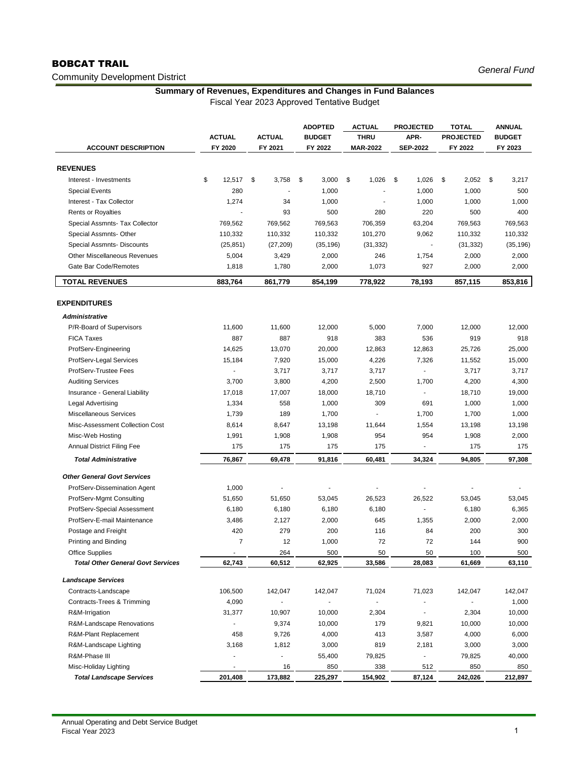# BOBCAT TRAIL

# Community Development District

*General Fund*

# **Summary of Revenues, Expenditures and Changes in Fund Balances**

|                                          |                |                | <b>ADOPTED</b> | <b>ACTUAL</b>   | <b>PROJECTED</b>         | <b>TOTAL</b>     | <b>ANNUAL</b> |
|------------------------------------------|----------------|----------------|----------------|-----------------|--------------------------|------------------|---------------|
|                                          | <b>ACTUAL</b>  | <b>ACTUAL</b>  | <b>BUDGET</b>  | <b>THRU</b>     | APR-                     | <b>PROJECTED</b> | <b>BUDGET</b> |
| <b>ACCOUNT DESCRIPTION</b>               | FY 2020        | FY 2021        | FY 2022        | <b>MAR-2022</b> | <b>SEP-2022</b>          | FY 2022          | FY 2023       |
| <b>REVENUES</b>                          |                |                |                |                 |                          |                  |               |
| Interest - Investments                   | \$<br>12,517   | \$<br>3,758    | \$<br>3,000    | \$<br>1,026     | \$<br>1,026              | \$<br>2,052      | \$<br>3,217   |
| <b>Special Events</b>                    | 280            |                | 1,000          |                 | 1,000                    | 1,000            | 500           |
| Interest - Tax Collector                 | 1,274          | 34             | 1,000          |                 | 1,000                    | 1,000            | 1,000         |
| <b>Rents or Royalties</b>                |                | 93             | 500            | 280             | 220                      | 500              | 400           |
| Special Assmnts- Tax Collector           | 769,562        | 769,562        | 769,563        | 706,359         | 63,204                   | 769,563          | 769,563       |
| Special Assmnts- Other                   | 110,332        | 110,332        | 110,332        | 101,270         | 9,062                    | 110,332          | 110,332       |
| Special Assmnts- Discounts               | (25, 851)      | (27, 209)      | (35, 196)      | (31, 332)       |                          | (31, 332)        | (35, 196)     |
| Other Miscellaneous Revenues             | 5,004          | 3,429          | 2,000          | 246             | 1,754                    | 2,000            | 2,000         |
| Gate Bar Code/Remotes                    | 1,818          | 1,780          | 2,000          | 1,073           | 927                      | 2,000            | 2,000         |
| <b>TOTAL REVENUES</b>                    | 883,764        | 861,779        | 854,199        | 778,922         | 78,193                   | 857,115          | 853,816       |
|                                          |                |                |                |                 |                          |                  |               |
| <b>EXPENDITURES</b>                      |                |                |                |                 |                          |                  |               |
| <b>Administrative</b>                    |                |                |                |                 |                          |                  |               |
| P/R-Board of Supervisors                 | 11,600         | 11,600         | 12,000         | 5,000           | 7,000                    | 12,000           | 12,000        |
| <b>FICA Taxes</b>                        | 887            | 887            | 918            | 383             | 536                      | 919              | 918           |
| ProfServ-Engineering                     | 14,625         | 13,070         | 20,000         | 12,863          | 12,863                   | 25,726           | 25,000        |
| ProfServ-Legal Services                  | 15,184         | 7,920          | 15,000         | 4,226           | 7,326                    | 11,552           | 15,000        |
| ProfServ-Trustee Fees                    | J.             | 3,717          | 3,717          | 3,717           |                          | 3,717            | 3,717         |
| <b>Auditing Services</b>                 | 3,700          | 3,800          | 4,200          | 2,500           | 1,700                    | 4,200            | 4,300         |
| Insurance - General Liability            | 17,018         | 17,007         | 18,000         | 18,710          |                          | 18,710           | 19,000        |
| Legal Advertising                        | 1,334          | 558            | 1,000          | 309             | 691                      | 1,000            | 1,000         |
| <b>Miscellaneous Services</b>            | 1,739          | 189            | 1,700          |                 | 1,700                    | 1,700            | 1,000         |
| Misc-Assessment Collection Cost          | 8,614          | 8,647          | 13,198         | 11,644          | 1,554                    | 13,198           | 13,198        |
| Misc-Web Hosting                         | 1,991          | 1,908          | 1,908          | 954             | 954                      | 1,908            | 2,000         |
| <b>Annual District Filing Fee</b>        | 175            | 175            | 175            | 175             | $\overline{\phantom{a}}$ | 175              | 175           |
| <b>Total Administrative</b>              | 76,867         | 69,478         | 91,816         | 60,481          | 34,324                   | 94,805           | 97,308        |
| <b>Other General Govt Services</b>       |                |                |                |                 |                          |                  |               |
| ProfServ-Dissemination Agent             | 1,000          |                |                |                 |                          |                  |               |
| ProfServ-Mgmt Consulting                 | 51,650         | 51,650         | 53,045         | 26,523          | 26,522                   | 53,045           | 53,045        |
| ProfServ-Special Assessment              | 6,180          | 6,180          | 6,180          | 6,180           |                          | 6,180            | 6,365         |
| ProfServ-E-mail Maintenance              | 3,486          | 2,127          | 2,000          | 645             | 1,355                    | 2,000            | 2,000         |
| Postage and Freight                      | 420            | 279            | 200            | 116             | 84                       | 200              | 300           |
| Printing and Binding                     | $\overline{7}$ | 12             | 1,000          | 72              | 72                       | 144              | 900           |
| Office Supplies                          |                | 264            | 500            | 50              | 50                       | 100              | 500           |
| <b>Total Other General Govt Services</b> | 62,743         | 60,512         | 62,925         | 33,586          | 28,083                   | 61,669           | 63,110        |
| <b>Landscape Services</b>                |                |                |                |                 |                          |                  |               |
| Contracts-Landscape                      | 106,500        | 142,047        | 142,047        | 71,024          | 71,023                   | 142,047          | 142,047       |
| Contracts-Trees & Trimming               | 4,090          |                | ÷,             |                 | $\sim$                   |                  | 1,000         |
| R&M-Irrigation                           | 31,377         | 10,907         | 10,000         | 2,304           |                          | 2,304            | 10,000        |
| R&M-Landscape Renovations                |                | 9,374          | 10,000         | 179             | 9,821                    | 10,000           | 10,000        |
| R&M-Plant Replacement                    | 458            | 9,726          | 4,000          | 413             | 3,587                    | 4,000            | 6,000         |
| R&M-Landscape Lighting                   | 3,168          | 1,812          | 3,000          | 819             | 2,181                    | 3,000            | 3,000         |
| R&M-Phase III                            |                | $\blacksquare$ | 55,400         | 79,825          |                          | 79,825           | 40,000        |
| Misc-Holiday Lighting                    |                | 16             | 850            | 338             | 512                      | 850              | 850           |
| <b>Total Landscape Services</b>          | 201,408        | 173,882        | 225,297        | 154,902         | 87,124                   | 242,026          | 212,897       |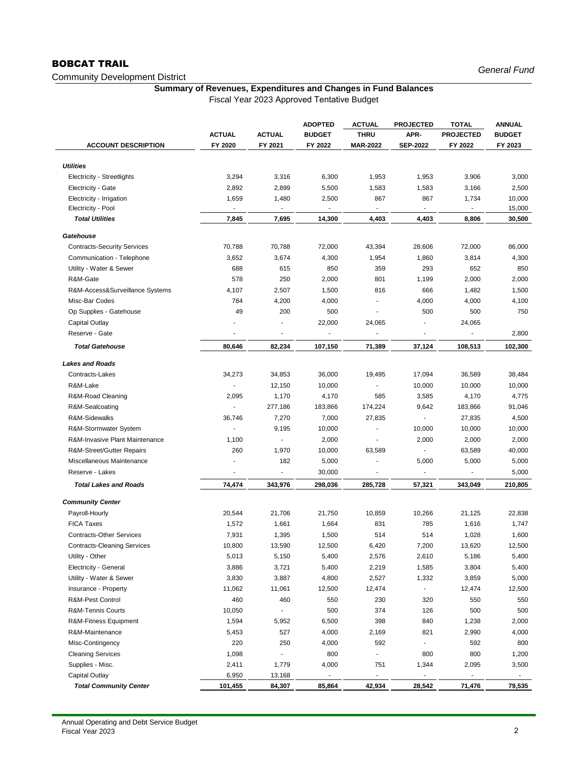# BOBCAT TRAIL

Community Development District

# **Summary of Revenues, Expenditures and Changes in Fund Balances**

|                                    |                |                          | <b>ADOPTED</b>           | <b>ACTUAL</b>            | <b>PROJECTED</b>         | <b>TOTAL</b>     | <b>ANNUAL</b> |
|------------------------------------|----------------|--------------------------|--------------------------|--------------------------|--------------------------|------------------|---------------|
|                                    | <b>ACTUAL</b>  | <b>ACTUAL</b>            | <b>BUDGET</b>            | <b>THRU</b>              | APR-                     | <b>PROJECTED</b> | <b>BUDGET</b> |
| <b>ACCOUNT DESCRIPTION</b>         | FY 2020        | FY 2021                  | FY 2022                  | <b>MAR-2022</b>          | <b>SEP-2022</b>          | FY 2022          | FY 2023       |
| <b>Utilities</b>                   |                |                          |                          |                          |                          |                  |               |
| <b>Electricity - Streetlights</b>  | 3,294          | 3,316                    | 6,300                    | 1,953                    | 1,953                    | 3,906            | 3,000         |
| <b>Electricity - Gate</b>          | 2,892          | 2,899                    | 5,500                    | 1,583                    | 1,583                    | 3,166            | 2,500         |
| Electricity - Irrigation           | 1,659          | 1,480                    | 2,500                    | 867                      | 867                      | 1,734            | 10,000        |
| Electricity - Pool                 |                |                          |                          |                          |                          |                  | 15,000        |
| <b>Total Utilities</b>             | 7,845          | 7,695                    | 14,300                   | 4,403                    | 4,403                    | 8,806            | 30,500        |
| Gatehouse                          |                |                          |                          |                          |                          |                  |               |
| <b>Contracts-Security Services</b> | 70,788         | 70,788                   | 72,000                   | 43,394                   | 28,606                   | 72,000           | 86,000        |
| Communication - Telephone          | 3,652          | 3,674                    | 4,300                    | 1,954                    | 1,860                    | 3,814            | 4,300         |
| Utility - Water & Sewer            | 688            | 615                      | 850                      | 359                      | 293                      | 652              | 850           |
| R&M-Gate                           | 578            | 250                      | 2,000                    | 801                      | 1,199                    | 2,000            | 2,000         |
| R&M-Access&Surveillance Systems    | 4,107          | 2,507                    | 1,500                    | 816                      | 666                      | 1,482            | 1,500         |
| Misc-Bar Codes                     | 784            | 4,200                    | 4,000                    |                          | 4,000                    | 4,000            | 4,100         |
| Op Supplies - Gatehouse            | 49             | 200                      | 500                      |                          | 500                      | 500              | 750           |
| Capital Outlay                     |                |                          | 22,000                   | 24,065                   |                          | 24,065           |               |
| Reserve - Gate                     |                |                          | $\overline{\phantom{a}}$ |                          |                          |                  | 2,800         |
|                                    |                |                          |                          |                          |                          |                  |               |
| <b>Total Gatehouse</b>             | 80,646         | 82,234                   | 107,150                  | 71,389                   | 37,124                   | 108,513          | 102,300       |
| <b>Lakes and Roads</b>             |                |                          |                          |                          |                          |                  |               |
| Contracts-Lakes                    | 34,273         | 34,853                   | 36,000                   | 19,495                   | 17,094                   | 36,589           | 38,484        |
| R&M-Lake                           |                | 12,150                   | 10,000                   |                          | 10,000                   | 10,000           | 10,000        |
| R&M-Road Cleaning                  | 2,095          | 1,170                    | 4,170                    | 585                      | 3,585                    | 4,170            | 4,775         |
| R&M-Sealcoating                    |                | 277,186                  | 183,866                  | 174,224                  | 9,642                    | 183,866          | 91,046        |
| R&M-Sidewalks                      | 36,746         | 7,270                    | 7,000                    | 27,835                   |                          | 27,835           | 4,500         |
| R&M-Stormwater System              | $\blacksquare$ | 9,195                    | 10,000                   |                          | 10,000                   | 10,000           | 10,000        |
| R&M-Invasive Plant Maintenance     | 1,100          | $\blacksquare$           | 2,000                    | ÷,                       | 2,000                    | 2,000            | 2,000         |
| R&M-Street/Gutter Repairs          | 260            | 1,970                    | 10,000                   | 63,589                   |                          | 63,589           | 40,000        |
| Miscellaneous Maintenance          |                | 182                      | 5,000                    |                          | 5,000                    | 5,000            | 5,000         |
| Reserve - Lakes                    |                | $\overline{\phantom{a}}$ | 30,000                   | $\overline{\phantom{a}}$ | $\overline{\phantom{a}}$ |                  | 5,000         |
| <b>Total Lakes and Roads</b>       | 74,474         | 343,976                  | 298,036                  | 285,728                  | 57,321                   | 343,049          | 210,805       |
| <b>Community Center</b>            |                |                          |                          |                          |                          |                  |               |
| Payroll-Hourly                     | 20,544         | 21,706                   | 21,750                   | 10,859                   | 10,266                   | 21,125           | 22,838        |
| <b>FICA Taxes</b>                  | 1,572          | 1,661                    | 1,664                    | 831                      | 785                      | 1,616            | 1,747         |
| <b>Contracts-Other Services</b>    | 7,931          | 1,395                    | 1,500                    | 514                      | 514                      | 1,028            | 1,600         |
| <b>Contracts-Cleaning Services</b> | 10,800         | 13,590                   | 12,500                   | 6,420                    | 7,200                    | 13,620           | 12,500        |
| Utility - Other                    | 5,013          | 5,150                    | 5,400                    | 2,576                    | 2,610                    | 5,186            | 5,400         |
| Electricity - General              | 3,886          | 3,721                    | 5,400                    | 2,219                    | 1,585                    | 3,804            | 5,400         |
| Utility - Water & Sewer            | 3,830          | 3,887                    | 4,800                    | 2,527                    | 1,332                    | 3,859            | 5,000         |
| Insurance - Property               | 11,062         | 11,061                   | 12,500                   | 12,474                   |                          | 12,474           | 12,500        |
| R&M-Pest Control                   | 460            | 460                      | 550                      | 230                      | 320                      | 550              | 550           |
| R&M-Tennis Courts                  | 10,050         | $\blacksquare$           | 500                      | 374                      | 126                      | 500              | 500           |
| R&M-Fitness Equipment              | 1,594          | 5,952                    | 6,500                    | 398                      | 840                      | 1,238            | 2,000         |
| R&M-Maintenance                    | 5,453          | 527                      | 4,000                    | 2,169                    | 821                      | 2,990            | 4,000         |
| Misc-Contingency                   | 220            | 250                      | 4,000                    | 592                      |                          | 592              | 800           |
| <b>Cleaning Services</b>           | 1,098          |                          | 800                      |                          | 800                      | 800              | 1,200         |
| Supplies - Misc.                   | 2,411          | 1,779                    | 4,000                    | 751                      | 1,344                    | 2,095            | 3,500         |
| Capital Outlay                     | 6,950          | 13,168                   |                          |                          |                          |                  |               |
| <b>Total Community Center</b>      | 101,455        | 84,307                   | 85,864                   | 42,934                   | 28,542                   | 71,476           | 79,535        |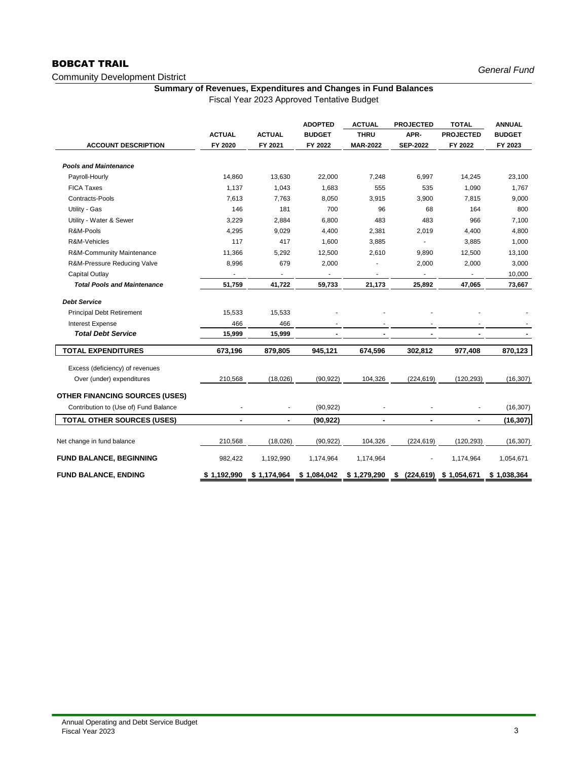# BOBCAT TRAIL

# Community Development District

# **Summary of Revenues, Expenditures and Changes in Fund Balances**

|                                       |               |               | <b>ADOPTED</b> | <b>ACTUAL</b>            | <b>PROJECTED</b> | <b>TOTAL</b>     | <b>ANNUAL</b> |
|---------------------------------------|---------------|---------------|----------------|--------------------------|------------------|------------------|---------------|
|                                       | <b>ACTUAL</b> | <b>ACTUAL</b> | <b>BUDGET</b>  | <b>THRU</b>              | APR-             | <b>PROJECTED</b> | <b>BUDGET</b> |
| <b>ACCOUNT DESCRIPTION</b>            | FY 2020       | FY 2021       | FY 2022        | <b>MAR-2022</b>          | <b>SEP-2022</b>  | FY 2022          | FY 2023       |
|                                       |               |               |                |                          |                  |                  |               |
| <b>Pools and Maintenance</b>          |               |               |                |                          |                  |                  |               |
| Payroll-Hourly                        | 14,860        | 13,630        | 22,000         | 7,248                    | 6,997            | 14,245           | 23,100        |
| <b>FICA Taxes</b>                     | 1,137         | 1,043         | 1,683          | 555                      | 535              | 1,090            | 1,767         |
| Contracts-Pools                       | 7.613         | 7.763         | 8,050          | 3,915                    | 3,900            | 7.815            | 9,000         |
| Utility - Gas                         | 146           | 181           | 700            | 96                       | 68               | 164              | 800           |
| Utility - Water & Sewer               | 3,229         | 2,884         | 6,800          | 483                      | 483              | 966              | 7,100         |
| R&M-Pools                             | 4,295         | 9,029         | 4,400          | 2,381                    | 2,019            | 4,400            | 4,800         |
| R&M-Vehicles                          | 117           | 417           | 1,600          | 3,885                    |                  | 3,885            | 1,000         |
| R&M-Community Maintenance             | 11,366        | 5,292         | 12,500         | 2,610                    | 9,890            | 12,500           | 13,100        |
| R&M-Pressure Reducing Valve           | 8,996         | 679           | 2,000          |                          | 2,000            | 2,000            | 3,000         |
| Capital Outlay                        |               |               |                |                          |                  |                  | 10,000        |
| <b>Total Pools and Maintenance</b>    | 51,759        | 41,722        | 59,733         | 21,173                   | 25,892           | 47,065           | 73,667        |
| <b>Debt Service</b>                   |               |               |                |                          |                  |                  |               |
| <b>Principal Debt Retirement</b>      | 15,533        | 15,533        |                |                          |                  |                  |               |
| <b>Interest Expense</b>               | 466           | 466           |                | $\overline{\phantom{a}}$ |                  |                  |               |
| <b>Total Debt Service</b>             | 15,999        | 15,999        | $\blacksquare$ | $\overline{\phantom{a}}$ | $\blacksquare$   | $\blacksquare$   |               |
| <b>TOTAL EXPENDITURES</b>             | 673,196       | 879,805       | 945,121        | 674,596                  | 302,812          | 977,408          | 870,123       |
| Excess (deficiency) of revenues       |               |               |                |                          |                  |                  |               |
| Over (under) expenditures             | 210,568       | (18,026)      | (90, 922)      | 104,326                  | (224, 619)       | (120, 293)       | (16, 307)     |
| <b>OTHER FINANCING SOURCES (USES)</b> |               |               |                |                          |                  |                  |               |
| Contribution to (Use of) Fund Balance |               |               | (90, 922)      |                          |                  |                  | (16, 307)     |
| <b>TOTAL OTHER SOURCES (USES)</b>     | ٠             | ٠             | (90, 922)      | $\blacksquare$           | $\blacksquare$   | $\blacksquare$   | (16, 307)     |
|                                       |               |               |                |                          |                  |                  |               |
| Net change in fund balance            | 210,568       | (18,026)      | (90, 922)      | 104,326                  | (224, 619)       | (120, 293)       | (16, 307)     |
| <b>FUND BALANCE, BEGINNING</b>        | 982,422       | 1,192,990     | 1,174,964      | 1,174,964                |                  | 1,174,964        | 1,054,671     |
| FUND BALANCE, ENDING                  | \$1,192,990   | \$1,174,964   | \$1,084,042    | \$1,279,290              | \$<br>(224, 619) | \$1,054,671      | \$1,038,364   |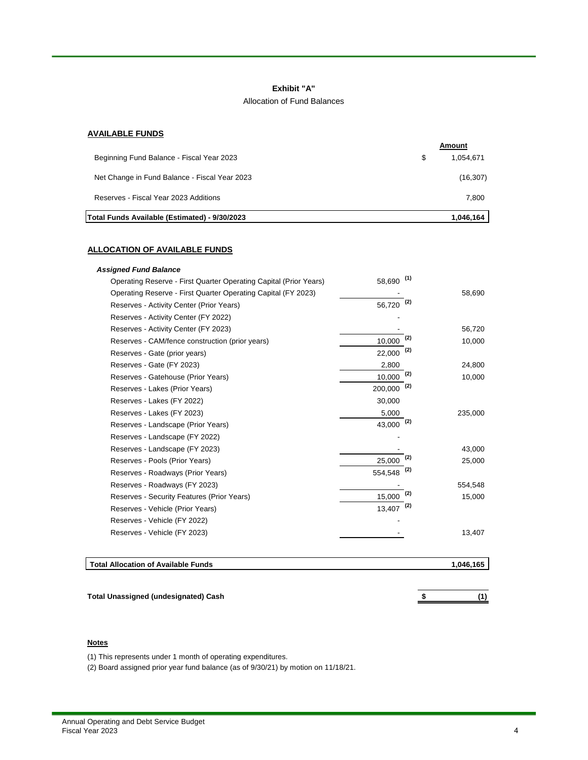#### **Exhibit "A"**

#### Allocation of Fund Balances

# **AVAILABLE FUNDS**

|                                               | Amount          |
|-----------------------------------------------|-----------------|
| Beginning Fund Balance - Fiscal Year 2023     | \$<br>1.054.671 |
| Net Change in Fund Balance - Fiscal Year 2023 | (16, 307)       |
| Reserves - Fiscal Year 2023 Additions         | 7.800           |
| Total Funds Available (Estimated) - 9/30/2023 | 1.046.164       |

# **ALLOCATION OF AVAILABLE FUNDS**

| Operating Reserve - First Quarter Operating Capital (Prior Years) | (1)<br>58.690    |           |
|-------------------------------------------------------------------|------------------|-----------|
| Operating Reserve - First Quarter Operating Capital (FY 2023)     |                  | 58,690    |
| Reserves - Activity Center (Prior Years)                          | (2)<br>56,720    |           |
| Reserves - Activity Center (FY 2022)                              |                  |           |
| Reserves - Activity Center (FY 2023)                              |                  | 56,720    |
| Reserves - CAM/fence construction (prior years)                   | (2)<br>10.000    | 10,000    |
| Reserves - Gate (prior years)                                     | (2)<br>22,000    |           |
| Reserves - Gate (FY 2023)                                         | 2,800            | 24,800    |
| Reserves - Gatehouse (Prior Years)                                | (2)<br>10,000    | 10,000    |
| Reserves - Lakes (Prior Years)                                    | (2)<br>200,000   |           |
| Reserves - Lakes (FY 2022)                                        | 30,000           |           |
| Reserves - Lakes (FY 2023)                                        | 5,000            | 235,000   |
| Reserves - Landscape (Prior Years)                                | 43,000 $(2)$     |           |
| Reserves - Landscape (FY 2022)                                    |                  |           |
| Reserves - Landscape (FY 2023)                                    |                  | 43,000    |
| Reserves - Pools (Prior Years)                                    | (2)<br>25,000    | 25,000    |
| Reserves - Roadways (Prior Years)                                 | $(2)$<br>554,548 |           |
| Reserves - Roadways (FY 2023)                                     |                  | 554,548   |
| Reserves - Security Features (Prior Years)                        | (2)<br>15,000    | 15,000    |
| Reserves - Vehicle (Prior Years)                                  | (2)<br>13,407    |           |
| Reserves - Vehicle (FY 2022)                                      |                  |           |
| Reserves - Vehicle (FY 2023)                                      |                  | 13,407    |
|                                                                   |                  |           |
| <b>Total Allocation of Available Funds</b>                        |                  | 1,046,165 |

**Total Unassigned (undesignated) Cash \$ (1)**

### **Notes**

(1) This represents under 1 month of operating expenditures.

(2) Board assigned prior year fund balance (as of 9/30/21) by motion on 11/18/21.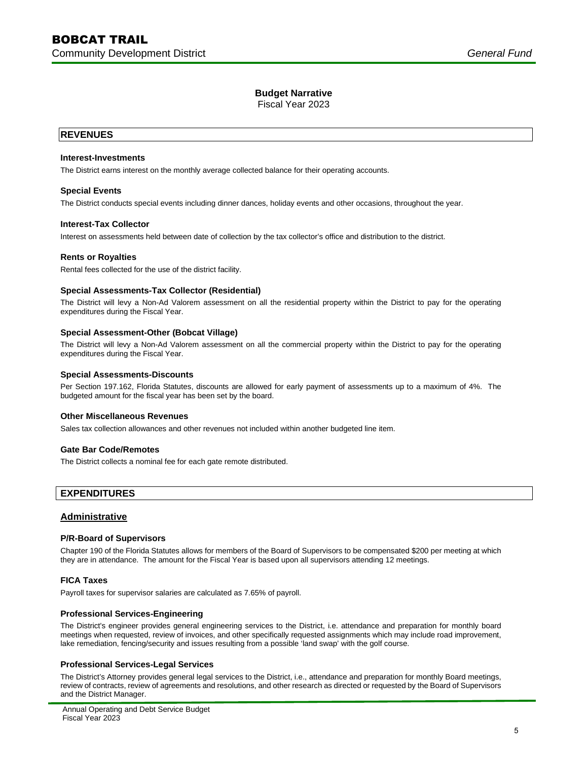Fiscal Year 2023

# **REVENUES**

#### **Interest-Investments**

The District earns interest on the monthly average collected balance for their operating accounts.

#### **Special Events**

The District conducts special events including dinner dances, holiday events and other occasions, throughout the year.

#### **Interest-Tax Collector**

Interest on assessments held between date of collection by the tax collector's office and distribution to the district.

#### **Rents or Royalties**

Rental fees collected for the use of the district facility.

#### **Special Assessments-Tax Collector (Residential)**

The District will levy a Non-Ad Valorem assessment on all the residential property within the District to pay for the operating expenditures during the Fiscal Year.

#### **Special Assessment-Other (Bobcat Village)**

The District will levy a Non-Ad Valorem assessment on all the commercial property within the District to pay for the operating expenditures during the Fiscal Year.

#### **Special Assessments-Discounts**

Per Section 197.162, Florida Statutes, discounts are allowed for early payment of assessments up to a maximum of 4%. The budgeted amount for the fiscal year has been set by the board.

#### **Other Miscellaneous Revenues**

Sales tax collection allowances and other revenues not included within another budgeted line item.

# **Gate Bar Code/Remotes**

The District collects a nominal fee for each gate remote distributed.

# **EXPENDITURES**

#### **Administrative**

#### **P/R-Board of Supervisors**

Chapter 190 of the Florida Statutes allows for members of the Board of Supervisors to be compensated \$200 per meeting at which they are in attendance. The amount for the Fiscal Year is based upon all supervisors attending 12 meetings.

# **FICA Taxes**

Payroll taxes for supervisor salaries are calculated as 7.65% of payroll.

#### **Professional Services-Engineering**

The District's engineer provides general engineering services to the District, i.e. attendance and preparation for monthly board meetings when requested, review of invoices, and other specifically requested assignments which may include road improvement, lake remediation, fencing/security and issues resulting from a possible 'land swap' with the golf course.

#### **Professional Services-Legal Services**

The District's Attorney provides general legal services to the District, i.e., attendance and preparation for monthly Board meetings, review of contracts, review of agreements and resolutions, and other research as directed or requested by the Board of Supervisors and the District Manager.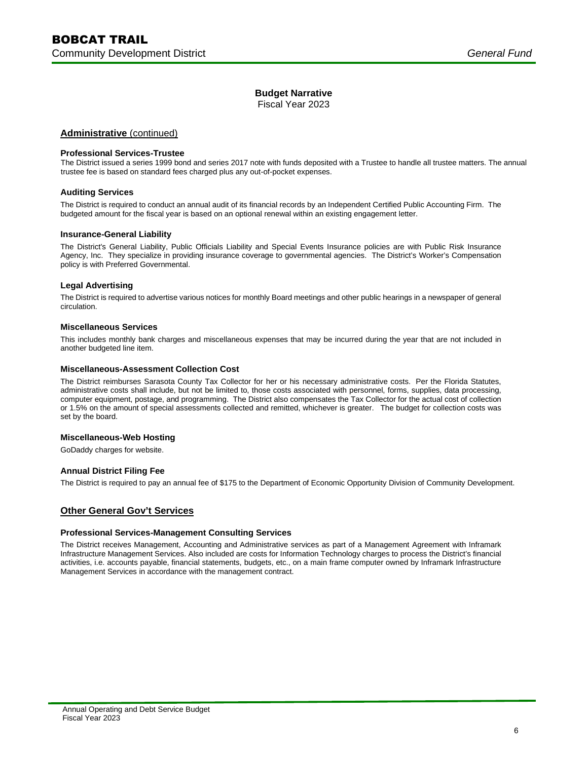Fiscal Year 2023

# **Administrative** (continued)

#### **Professional Services-Trustee**

The District issued a series 1999 bond and series 2017 note with funds deposited with a Trustee to handle all trustee matters. The annual trustee fee is based on standard fees charged plus any out-of-pocket expenses.

# **Auditing Services**

The District is required to conduct an annual audit of its financial records by an Independent Certified Public Accounting Firm. The budgeted amount for the fiscal year is based on an optional renewal within an existing engagement letter.

# **Insurance-General Liability**

The District's General Liability, Public Officials Liability and Special Events Insurance policies are with Public Risk Insurance Agency, Inc. They specialize in providing insurance coverage to governmental agencies. The District's Worker's Compensation policy is with Preferred Governmental.

#### **Legal Advertising**

The District is required to advertise various notices for monthly Board meetings and other public hearings in a newspaper of general circulation.

#### **Miscellaneous Services**

This includes monthly bank charges and miscellaneous expenses that may be incurred during the year that are not included in another budgeted line item.

#### **Miscellaneous-Assessment Collection Cost**

The District reimburses Sarasota County Tax Collector for her or his necessary administrative costs. Per the Florida Statutes, administrative costs shall include, but not be limited to, those costs associated with personnel, forms, supplies, data processing, computer equipment, postage, and programming. The District also compensates the Tax Collector for the actual cost of collection or 1.5% on the amount of special assessments collected and remitted, whichever is greater. The budget for collection costs was set by the board.

# **Miscellaneous-Web Hosting**

GoDaddy charges for website.

# **Annual District Filing Fee**

The District is required to pay an annual fee of \$175 to the Department of Economic Opportunity Division of Community Development.

# **Other General Gov't Services**

# **Professional Services-Management Consulting Services**

The District receives Management, Accounting and Administrative services as part of a Management Agreement with Inframark Infrastructure Management Services. Also included are costs for Information Technology charges to process the District's financial activities, i.e. accounts payable, financial statements, budgets, etc., on a main frame computer owned by Inframark Infrastructure Management Services in accordance with the management contract.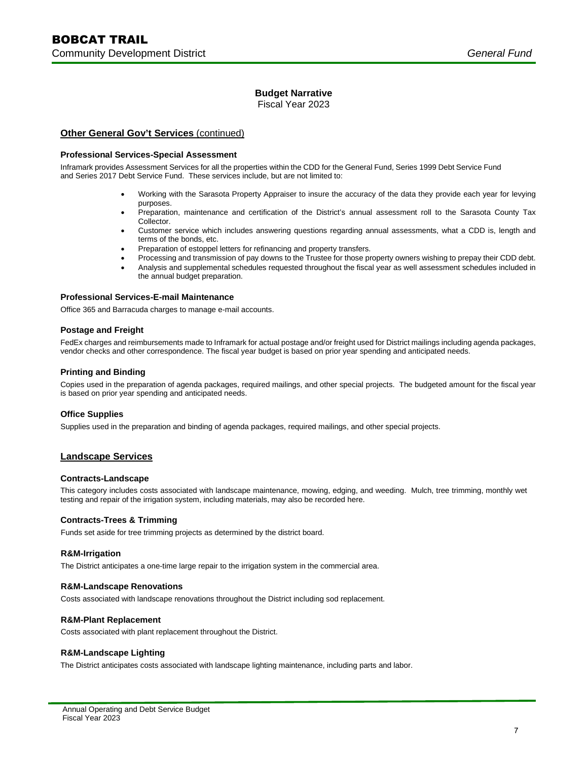Fiscal Year 2023

# **Other General Gov't Services** (continued)

#### **Professional Services-Special Assessment**

Inframark provides Assessment Services for all the properties within the CDD for the General Fund, Series 1999 Debt Service Fund and Series 2017 Debt Service Fund. These services include, but are not limited to:

- Working with the Sarasota Property Appraiser to insure the accuracy of the data they provide each year for levying purposes.
- Preparation, maintenance and certification of the District's annual assessment roll to the Sarasota County Tax Collector.
- Customer service which includes answering questions regarding annual assessments, what a CDD is, length and terms of the bonds, etc.
- Preparation of estoppel letters for refinancing and property transfers.
- Processing and transmission of pay downs to the Trustee for those property owners wishing to prepay their CDD debt.
- Analysis and supplemental schedules requested throughout the fiscal year as well assessment schedules included in the annual budget preparation.

#### **Professional Services-E-mail Maintenance**

Office 365 and Barracuda charges to manage e-mail accounts.

#### **Postage and Freight**

FedEx charges and reimbursements made to Inframark for actual postage and/or freight used for District mailings including agenda packages, vendor checks and other correspondence. The fiscal year budget is based on prior year spending and anticipated needs.

#### **Printing and Binding**

Copies used in the preparation of agenda packages, required mailings, and other special projects. The budgeted amount for the fiscal year is based on prior year spending and anticipated needs.

#### **Office Supplies**

Supplies used in the preparation and binding of agenda packages, required mailings, and other special projects.

# **Landscape Services**

#### **Contracts-Landscape**

This category includes costs associated with landscape maintenance, mowing, edging, and weeding. Mulch, tree trimming, monthly wet testing and repair of the irrigation system, including materials, may also be recorded here.

# **Contracts-Trees & Trimming**

Funds set aside for tree trimming projects as determined by the district board.

#### **R&M-Irrigation**

The District anticipates a one-time large repair to the irrigation system in the commercial area.

#### **R&M-Landscape Renovations**

Costs associated with landscape renovations throughout the District including sod replacement.

#### **R&M-Plant Replacement**

Costs associated with plant replacement throughout the District.

# **R&M-Landscape Lighting**

The District anticipates costs associated with landscape lighting maintenance, including parts and labor.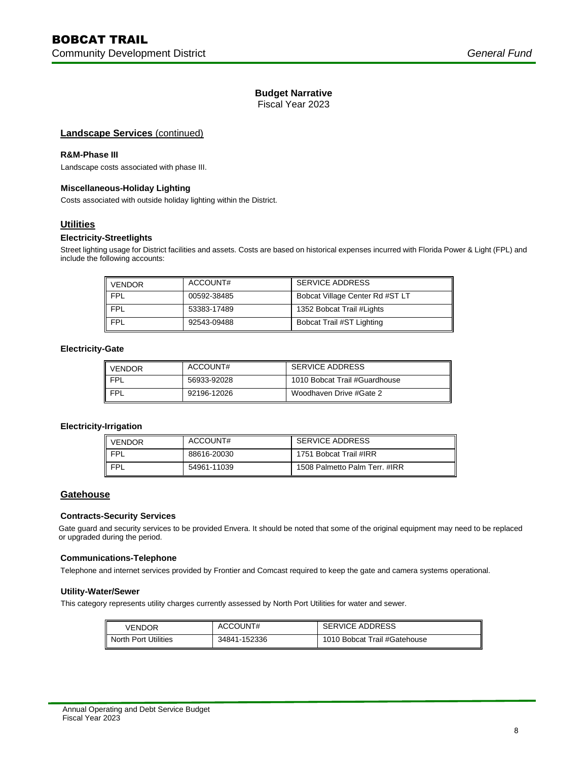Fiscal Year 2023

# **Landscape Services** (continued)

# **R&M-Phase III**

Landscape costs associated with phase III.

# **Miscellaneous-Holiday Lighting**

Costs associated with outside holiday lighting within the District.

# **Utilities**

# **Electricity-Streetlights**

Street lighting usage for District facilities and assets. Costs are based on historical expenses incurred with Florida Power & Light (FPL) and include the following accounts:

| VENDOR | ACCOUNT#    | <b>SERVICE ADDRESS</b>          |
|--------|-------------|---------------------------------|
| FPL    | 00592-38485 | Bobcat Village Center Rd #ST LT |
| FPL    | 53383-17489 | 1352 Bobcat Trail #Lights       |
| FPL    | 92543-09488 | Bobcat Trail #ST Lighting       |

#### **Electricity-Gate**

| <b>VENDOR</b> | ACCOUNT#    | <b>SERVICE ADDRESS</b>        |
|---------------|-------------|-------------------------------|
| II FPL        | 56933-92028 | 1010 Bobcat Trail #Guardhouse |
| II FPI        | 92196-12026 | Woodhaven Drive #Gate 2       |

# **Electricity-Irrigation**

| VENDOR     | ACCOUNT#    | SERVICE ADDRESS               |
|------------|-------------|-------------------------------|
| <b>FPL</b> | 88616-20030 | 1751 Bobcat Trail #IRR        |
| <b>FPL</b> | 54961-11039 | 1508 Palmetto Palm Terr, #IRR |

# **Gatehouse**

# **Contracts-Security Services**

Gate guard and security services to be provided Envera. It should be noted that some of the original equipment may need to be replaced or upgraded during the period.

#### **Communications-Telephone**

Telephone and internet services provided by Frontier and Comcast required to keep the gate and camera systems operational.

# **Utility-Water/Sewer**

This category represents utility charges currently assessed by North Port Utilities for water and sewer.

| VENDOR               | ACCOUNT#     | <b>SERVICE ADDRESS</b>       |
|----------------------|--------------|------------------------------|
| North Port Utilities | 34841-152336 | 1010 Bobcat Trail #Gatehouse |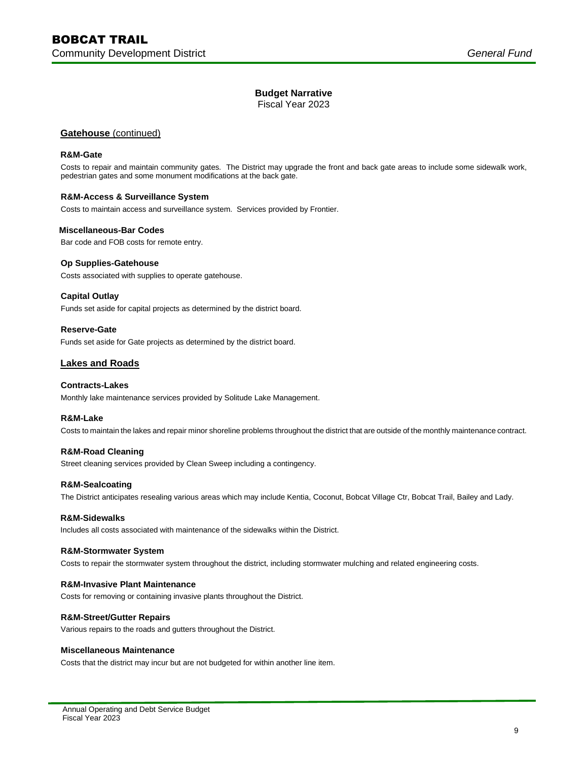Fiscal Year 2023

# **Gatehouse** (continued)

#### **R&M-Gate**

Costs to repair and maintain community gates. The District may upgrade the front and back gate areas to include some sidewalk work, pedestrian gates and some monument modifications at the back gate.

# **R&M-Access & Surveillance System**

Costs to maintain access and surveillance system. Services provided by Frontier.

#### **Miscellaneous-Bar Codes**

Bar code and FOB costs for remote entry.

# **Op Supplies-Gatehouse**

Costs associated with supplies to operate gatehouse.

# **Capital Outlay**

Funds set aside for capital projects as determined by the district board.

# **Reserve-Gate**

Funds set aside for Gate projects as determined by the district board.

# **Lakes and Roads**

# **Contracts-Lakes**

Monthly lake maintenance services provided by Solitude Lake Management.

#### **R&M-Lake**

Costs to maintain the lakes and repair minor shoreline problems throughout the district that are outside of the monthly maintenance contract.

# **R&M-Road Cleaning**

Street cleaning services provided by Clean Sweep including a contingency.

#### **R&M-Sealcoating**

The District anticipates resealing various areas which may include Kentia, Coconut, Bobcat Village Ctr, Bobcat Trail, Bailey and Lady.

#### **R&M-Sidewalks**

Includes all costs associated with maintenance of the sidewalks within the District.

#### **R&M-Stormwater System**

Costs to repair the stormwater system throughout the district, including stormwater mulching and related engineering costs.

#### **R&M-Invasive Plant Maintenance**

Costs for removing or containing invasive plants throughout the District.

# **R&M-Street/Gutter Repairs**

Various repairs to the roads and gutters throughout the District.

#### **Miscellaneous Maintenance**

Costs that the district may incur but are not budgeted for within another line item.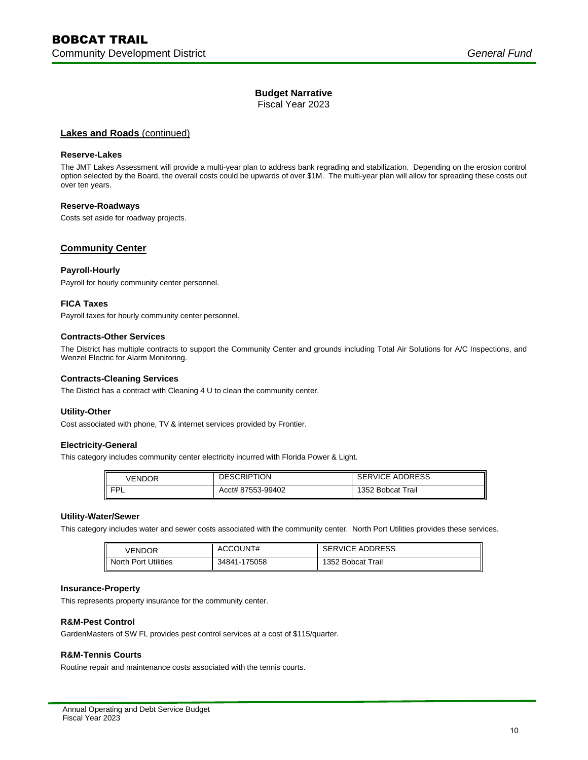Fiscal Year 2023

# **Lakes and Roads** (continued)

#### **Reserve-Lakes**

The JMT Lakes Assessment will provide a multi-year plan to address bank regrading and stabilization. Depending on the erosion control option selected by the Board, the overall costs could be upwards of over \$1M. The multi-year plan will allow for spreading these costs out over ten years.

#### **Reserve-Roadways**

Costs set aside for roadway projects.

# **Community Center**

#### **Payroll-Hourly**

Payroll for hourly community center personnel.

#### **FICA Taxes**

Payroll taxes for hourly community center personnel.

#### **Contracts-Other Services**

The District has multiple contracts to support the Community Center and grounds including Total Air Solutions for A/C Inspections, and Wenzel Electric for Alarm Monitoring.

#### **Contracts-Cleaning Services**

The District has a contract with Cleaning 4 U to clean the community center.

#### **Utility-Other**

Cost associated with phone, TV & internet services provided by Frontier.

#### **Electricity-General**

This category includes community center electricity incurred with Florida Power & Light.

| VENDOR | <b>DESCRIPTION</b> | <b>SERVICE ADDRESS</b> |
|--------|--------------------|------------------------|
| FPL    | Acct# 87553-99402  | 1352 Bobcat Trail      |

#### **Utility-Water/Sewer**

This category includes water and sewer costs associated with the community center. North Port Utilities provides these services.

| VENDOR                        | ACCOUNT#     | <b>SERVICE ADDRESS</b> |  |  |  |
|-------------------------------|--------------|------------------------|--|--|--|
| <b>I</b> North Port Utilities | 34841-175058 | 1352 Bobcat Trail      |  |  |  |

#### **Insurance-Property**

This represents property insurance for the community center.

#### **R&M-Pest Control**

GardenMasters of SW FL provides pest control services at a cost of \$115/quarter.

# **R&M-Tennis Courts**

Routine repair and maintenance costs associated with the tennis courts.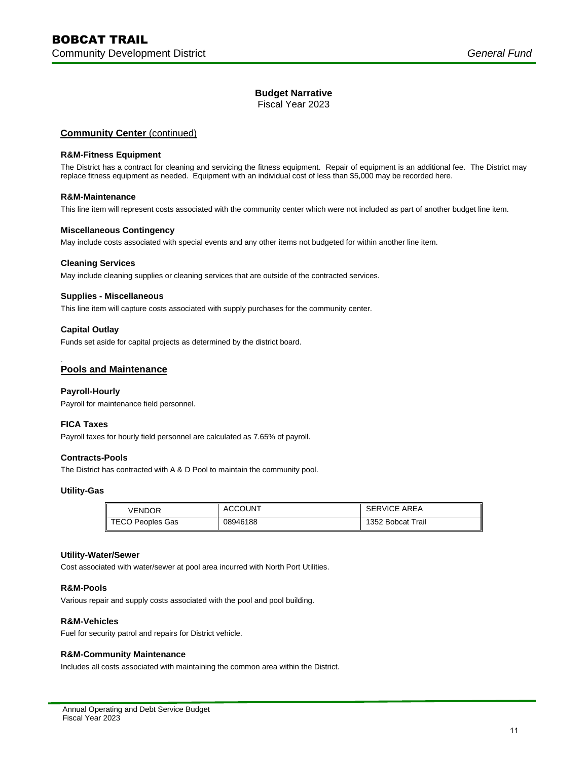Fiscal Year 2023

# **Community Center** (continued)

#### **R&M-Fitness Equipment**

The District has a contract for cleaning and servicing the fitness equipment. Repair of equipment is an additional fee. The District may replace fitness equipment as needed. Equipment with an individual cost of less than \$5,000 may be recorded here.

# **R&M-Maintenance**

This line item will represent costs associated with the community center which were not included as part of another budget line item.

#### **Miscellaneous Contingency**

May include costs associated with special events and any other items not budgeted for within another line item.

#### **Cleaning Services**

May include cleaning supplies or cleaning services that are outside of the contracted services.

#### **Supplies - Miscellaneous**

This line item will capture costs associated with supply purchases for the community center.

# **Capital Outlay**

Funds set aside for capital projects as determined by the district board.

#### . **Pools and Maintenance**

# **Payroll-Hourly**

Payroll for maintenance field personnel.

# **FICA Taxes**

Payroll taxes for hourly field personnel are calculated as 7.65% of payroll.

# **Contracts-Pools**

The District has contracted with A & D Pool to maintain the community pool.

#### **Utility-Gas**

| VENDOR           | <b>ACCOUNT</b> | <b>SERVICE AREA</b> |
|------------------|----------------|---------------------|
| TECO Peoples Gas | 08946188       | 1352 Bobcat Trail   |

#### **Utility-Water/Sewer**

Cost associated with water/sewer at pool area incurred with North Port Utilities.

#### **R&M-Pools**

Various repair and supply costs associated with the pool and pool building.

#### **R&M-Vehicles**

Fuel for security patrol and repairs for District vehicle.

# **R&M-Community Maintenance**

Includes all costs associated with maintaining the common area within the District.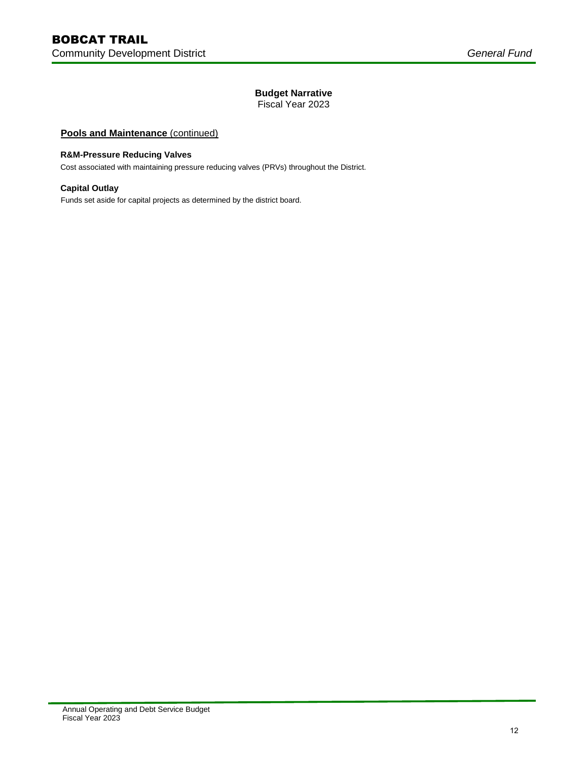Fiscal Year 2023

# **Pools and Maintenance (continued)**

# **R&M-Pressure Reducing Valves**

Cost associated with maintaining pressure reducing valves (PRVs) throughout the District.

# **Capital Outlay**

Funds set aside for capital projects as determined by the district board.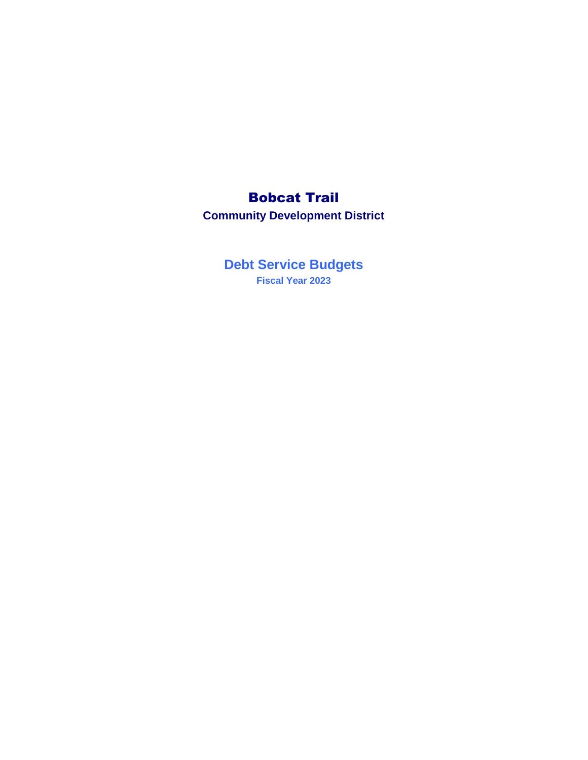# Bobcat Trail

**Community Development District**

**Debt Service Budgets Fiscal Year 2023**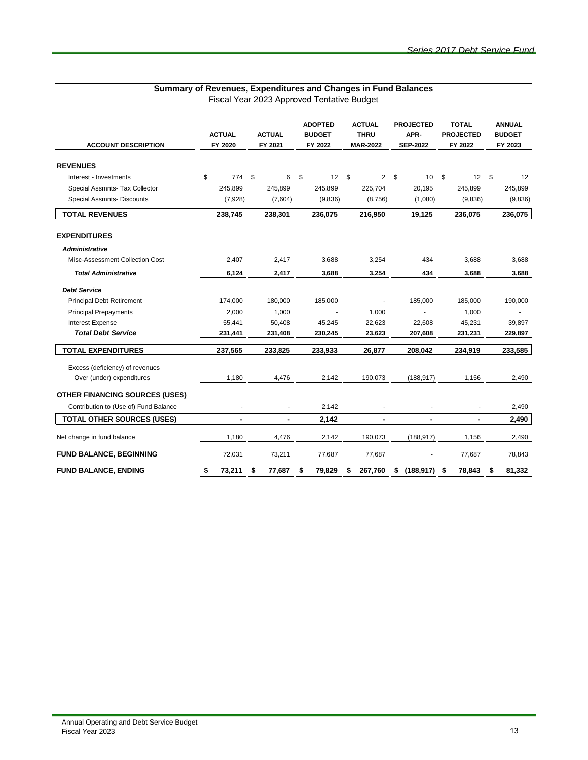| <b>ACCOUNT DESCRIPTION</b>            | <b>ACTUAL</b><br>FY 2020 | <b>ACTUAL</b><br>FY 2021 | <b>ADOPTED</b><br><b>BUDGET</b><br>FY 2022 | <b>ACTUAL</b><br><b>THRU</b><br><b>MAR-2022</b> | <b>PROJECTED</b><br>APR-<br><b>SEP-2022</b> | <b>TOTAL</b><br><b>PROJECTED</b><br>FY 2022 | <b>ANNUAL</b><br><b>BUDGET</b><br>FY 2023 |  |
|---------------------------------------|--------------------------|--------------------------|--------------------------------------------|-------------------------------------------------|---------------------------------------------|---------------------------------------------|-------------------------------------------|--|
| <b>REVENUES</b>                       |                          |                          |                                            |                                                 |                                             |                                             |                                           |  |
| Interest - Investments                | \$<br>774                | \$<br>6                  | \$<br>12                                   | \$                                              | 2 <sup>5</sup><br>10                        | \$<br>12S                                   | 12                                        |  |
| Special Assmnts- Tax Collector        | 245,899                  | 245,899                  | 245,899                                    | 225,704                                         | 20,195                                      | 245,899                                     | 245,899                                   |  |
| Special Assmnts- Discounts            | (7,928)                  | (7,604)                  | (9,836)                                    | (8,756)                                         | (1,080)                                     | (9,836)                                     | (9,836)                                   |  |
| <b>TOTAL REVENUES</b>                 | 238,745                  | 238,301                  | 236,075                                    | 216,950                                         | 19,125                                      | 236,075                                     | 236,075                                   |  |
| <b>EXPENDITURES</b>                   |                          |                          |                                            |                                                 |                                             |                                             |                                           |  |
| <b>Administrative</b>                 |                          |                          |                                            |                                                 |                                             |                                             |                                           |  |
| Misc-Assessment Collection Cost       | 2,407                    | 2,417                    | 3,688                                      | 3,254                                           | 434                                         | 3,688                                       | 3,688                                     |  |
| <b>Total Administrative</b>           | 6,124                    | 2,417                    | 3,688                                      | 3,254                                           | 434                                         | 3,688                                       | 3,688                                     |  |
| <b>Debt Service</b>                   |                          |                          |                                            |                                                 |                                             |                                             |                                           |  |
| <b>Principal Debt Retirement</b>      | 174,000                  | 180,000                  | 185,000                                    | ÷,                                              | 185.000                                     | 185,000                                     | 190,000                                   |  |
| <b>Principal Prepayments</b>          | 2,000                    | 1,000                    |                                            | 1,000                                           |                                             | 1,000                                       |                                           |  |
| <b>Interest Expense</b>               | 55,441                   | 50,408                   | 45,245                                     | 22,623                                          | 22,608                                      | 45,231                                      | 39,897                                    |  |
| <b>Total Debt Service</b>             | 231,441                  | 231,408                  | 230,245                                    | 23,623                                          | 207,608                                     | 231,231                                     | 229,897                                   |  |
| <b>TOTAL EXPENDITURES</b>             | 237,565                  | 233,825                  | 233,933                                    | 26,877                                          | 208,042                                     | 234,919                                     | 233,585                                   |  |
| Excess (deficiency) of revenues       |                          |                          |                                            |                                                 |                                             |                                             |                                           |  |
| Over (under) expenditures             | 1,180                    | 4,476                    | 2,142                                      | 190,073                                         | (188, 917)                                  | 1,156                                       | 2,490                                     |  |
| <b>OTHER FINANCING SOURCES (USES)</b> |                          |                          |                                            |                                                 |                                             |                                             |                                           |  |
| Contribution to (Use of) Fund Balance | ä,                       |                          | 2,142                                      |                                                 |                                             |                                             | 2,490                                     |  |
| <b>TOTAL OTHER SOURCES (USES)</b>     | $\blacksquare$           | ۰                        | 2,142                                      | $\blacksquare$                                  |                                             | $\blacksquare$                              | 2,490                                     |  |
| Net change in fund balance            | 1,180                    | 4,476                    | 2,142                                      | 190,073                                         | (188, 917)                                  | 1,156                                       | 2,490                                     |  |
| <b>FUND BALANCE, BEGINNING</b>        | 72,031                   | 73,211                   | 77,687                                     | 77,687                                          |                                             | 77,687                                      | 78,843                                    |  |
| <b>FUND BALANCE, ENDING</b>           | 73,211<br>\$             | 77,687<br>\$             | 79,829<br>\$                               | 267,760<br>S                                    | (188.917)<br>\$                             | 78,843<br>\$                                | 81,332<br>\$                              |  |

# **Summary of Revenues, Expenditures and Changes in Fund Balances**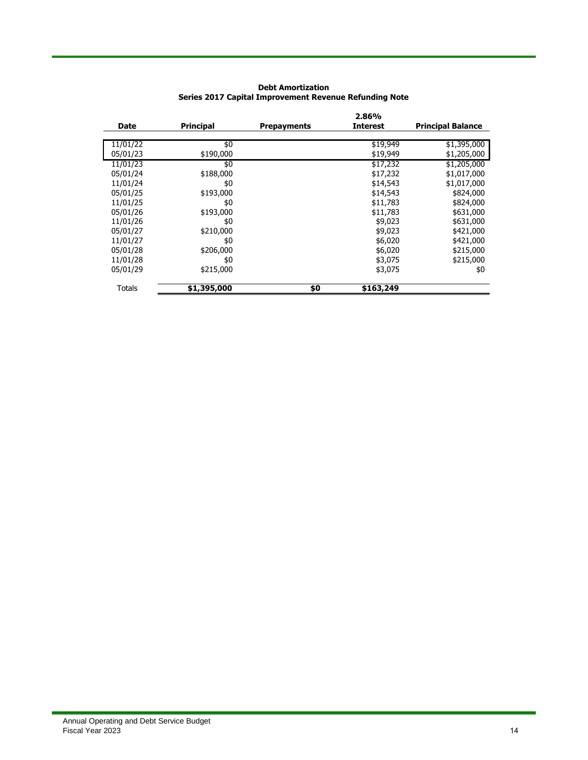| <b>Principal</b> | Prepayments | <b>Interest</b> | <b>Principal Balance</b> |  |  |  |
|------------------|-------------|-----------------|--------------------------|--|--|--|
|                  |             |                 |                          |  |  |  |
| \$0              |             | \$19,949        | \$1,395,000              |  |  |  |
| \$190,000        |             | \$19,949        | \$1,205,000              |  |  |  |
| \$0              |             | \$17,232        | \$1,205,000              |  |  |  |
| \$188,000        |             | \$17,232        | \$1,017,000              |  |  |  |
| \$0              |             | \$14,543        | \$1,017,000              |  |  |  |
| \$193,000        |             | \$14,543        | \$824,000                |  |  |  |
| \$0              |             | \$11,783        | \$824,000                |  |  |  |
| \$193,000        |             | \$11,783        | \$631,000                |  |  |  |
| \$0              |             | \$9,023         | \$631,000                |  |  |  |
| \$210,000        |             | \$9,023         | \$421,000                |  |  |  |
| \$0              |             | \$6,020         | \$421,000                |  |  |  |
| \$206,000        |             | \$6,020         | \$215,000                |  |  |  |
| \$0              |             | \$3,075         | \$215,000                |  |  |  |
| \$215,000        |             | \$3,075         | \$0                      |  |  |  |
|                  |             |                 |                          |  |  |  |
|                  | \$1,395,000 | \$0             | 2.86%<br>\$163,249       |  |  |  |

# **Debt Amortization Series 2017 Capital Improvement Revenue Refunding Note**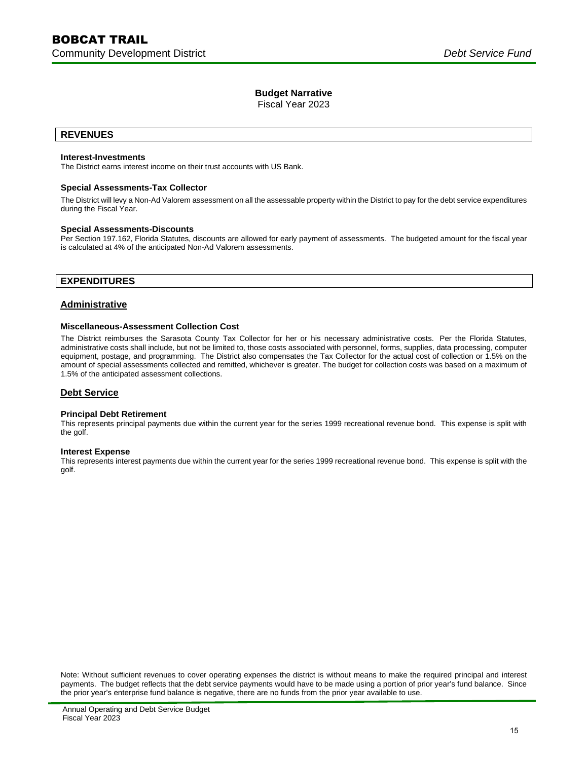Fiscal Year 2023

# **REVENUES**

#### **Interest-Investments**

The District earns interest income on their trust accounts with US Bank.

#### **Special Assessments-Tax Collector**

The District will levy a Non-Ad Valorem assessment on all the assessable property within the District to pay for the debt service expenditures during the Fiscal Year.

#### **Special Assessments-Discounts**

Per Section 197.162, Florida Statutes, discounts are allowed for early payment of assessments. The budgeted amount for the fiscal year is calculated at 4% of the anticipated Non-Ad Valorem assessments.

# **EXPENDITURES**

# **Administrative**

#### **Miscellaneous-Assessment Collection Cost**

The District reimburses the Sarasota County Tax Collector for her or his necessary administrative costs. Per the Florida Statutes, administrative costs shall include, but not be limited to, those costs associated with personnel, forms, supplies, data processing, computer equipment, postage, and programming. The District also compensates the Tax Collector for the actual cost of collection or 1.5% on the amount of special assessments collected and remitted, whichever is greater. The budget for collection costs was based on a maximum of 1.5% of the anticipated assessment collections.

# **Debt Service**

#### **Principal Debt Retirement**

This represents principal payments due within the current year for the series 1999 recreational revenue bond. This expense is split with the golf.

#### **Interest Expense**

This represents interest payments due within the current year for the series 1999 recreational revenue bond. This expense is split with the golf.

Note: Without sufficient revenues to cover operating expenses the district is without means to make the required principal and interest payments. The budget reflects that the debt service payments would have to be made using a portion of prior year's fund balance. Since the prior year's enterprise fund balance is negative, there are no funds from the prior year available to use.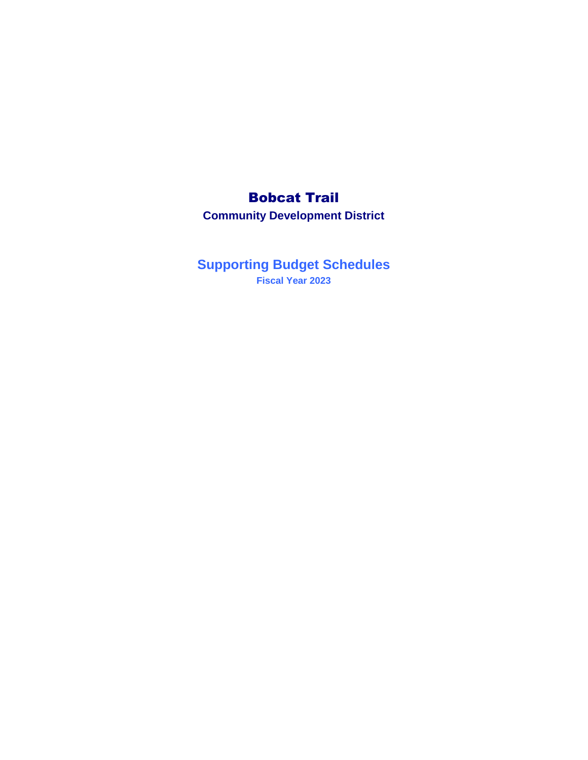# Bobcat Trail

**Community Development District**

**Supporting Budget Schedules Fiscal Year 2023**